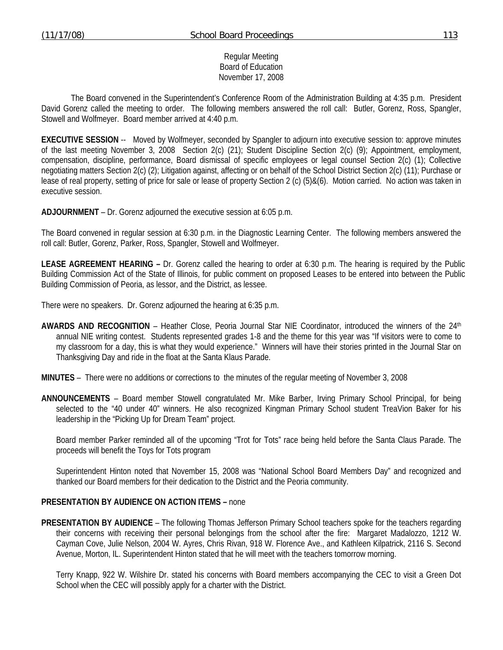### Regular Meeting Board of Education November 17, 2008

 The Board convened in the Superintendent's Conference Room of the Administration Building at 4:35 p.m. President David Gorenz called the meeting to order. The following members answered the roll call: Butler, Gorenz, Ross, Spangler, Stowell and Wolfmeyer. Board member arrived at 4:40 p.m.

**EXECUTIVE SESSION** -- Moved by Wolfmeyer, seconded by Spangler to adjourn into executive session to: approve minutes of the last meeting November 3, 2008 Section 2(c) (21); Student Discipline Section 2(c) (9); Appointment, employment, compensation, discipline, performance, Board dismissal of specific employees or legal counsel Section 2(c) (1); Collective negotiating matters Section 2(c) (2); Litigation against, affecting or on behalf of the School District Section 2(c) (11); Purchase or lease of real property, setting of price for sale or lease of property Section 2 (c) (5)&(6). Motion carried. No action was taken in executive session.

**ADJOURNMENT** – Dr. Gorenz adjourned the executive session at 6:05 p.m.

The Board convened in regular session at 6:30 p.m. in the Diagnostic Learning Center. The following members answered the roll call: Butler, Gorenz, Parker, Ross, Spangler, Stowell and Wolfmeyer.

**LEASE AGREEMENT HEARING –** Dr. Gorenz called the hearing to order at 6:30 p.m. The hearing is required by the Public Building Commission Act of the State of Illinois, for public comment on proposed Leases to be entered into between the Public Building Commission of Peoria, as lessor, and the District, as lessee.

There were no speakers. Dr. Gorenz adjourned the hearing at 6:35 p.m.

- **AWARDS AND RECOGNITION** Heather Close, Peoria Journal Star NIE Coordinator, introduced the winners of the 24th annual NIE writing contest. Students represented grades 1-8 and the theme for this year was "If visitors were to come to my classroom for a day, this is what they would experience." Winners will have their stories printed in the Journal Star on Thanksgiving Day and ride in the float at the Santa Klaus Parade.
- **MINUTES** There were no additions or corrections to the minutes of the regular meeting of November 3, 2008
- **ANNOUNCEMENTS** Board member Stowell congratulated Mr. Mike Barber, Irving Primary School Principal, for being selected to the "40 under 40" winners. He also recognized Kingman Primary School student TreaVion Baker for his leadership in the "Picking Up for Dream Team" project.

 Board member Parker reminded all of the upcoming "Trot for Tots" race being held before the Santa Claus Parade. The proceeds will benefit the Toys for Tots program

 Superintendent Hinton noted that November 15, 2008 was "National School Board Members Day" and recognized and thanked our Board members for their dedication to the District and the Peoria community.

#### **PRESENTATION BY AUDIENCE ON ACTION ITEMS –** none

**PRESENTATION BY AUDIENCE** – The following Thomas Jefferson Primary School teachers spoke for the teachers regarding their concerns with receiving their personal belongings from the school after the fire: Margaret Madalozzo, 1212 W. Cayman Cove, Julie Nelson, 2004 W. Ayres, Chris Rivan, 918 W. Florence Ave., and Kathleen Kilpatrick, 2116 S. Second Avenue, Morton, IL. Superintendent Hinton stated that he will meet with the teachers tomorrow morning.

 Terry Knapp, 922 W. Wilshire Dr. stated his concerns with Board members accompanying the CEC to visit a Green Dot School when the CEC will possibly apply for a charter with the District.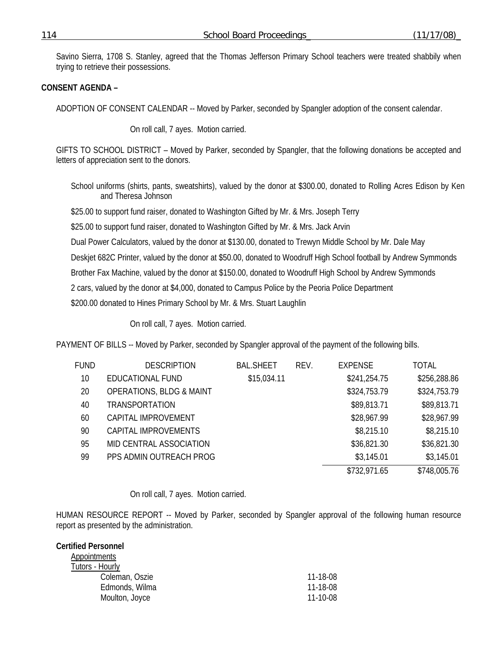Savino Sierra, 1708 S. Stanley, agreed that the Thomas Jefferson Primary School teachers were treated shabbily when trying to retrieve their possessions.

## **CONSENT AGENDA –**

ADOPTION OF CONSENT CALENDAR -- Moved by Parker, seconded by Spangler adoption of the consent calendar.

On roll call, 7 ayes. Motion carried.

GIFTS TO SCHOOL DISTRICT – Moved by Parker, seconded by Spangler, that the following donations be accepted and letters of appreciation sent to the donors.

School uniforms (shirts, pants, sweatshirts), valued by the donor at \$300.00, donated to Rolling Acres Edison by Ken and Theresa Johnson

\$25.00 to support fund raiser, donated to Washington Gifted by Mr. & Mrs. Joseph Terry

\$25.00 to support fund raiser, donated to Washington Gifted by Mr. & Mrs. Jack Arvin

Dual Power Calculators, valued by the donor at \$130.00, donated to Trewyn Middle School by Mr. Dale May

Deskjet 682C Printer, valued by the donor at \$50.00, donated to Woodruff High School football by Andrew Symmonds

Brother Fax Machine, valued by the donor at \$150.00, donated to Woodruff High School by Andrew Symmonds

2 cars, valued by the donor at \$4,000, donated to Campus Police by the Peoria Police Department

\$200.00 donated to Hines Primary School by Mr. & Mrs. Stuart Laughlin

On roll call, 7 ayes. Motion carried.

PAYMENT OF BILLS -- Moved by Parker, seconded by Spangler approval of the payment of the following bills.

| FUND | <b>DESCRIPTION</b>                  | <b>BAL.SHEET</b> | REV. | <b>EXPENSE</b> | <b>TOTAL</b> |
|------|-------------------------------------|------------------|------|----------------|--------------|
| 10   | EDUCATIONAL FUND                    | \$15,034.11      |      | \$241,254.75   | \$256,288.86 |
| 20   | <b>OPERATIONS, BLDG &amp; MAINT</b> |                  |      | \$324,753.79   | \$324,753.79 |
| 40   | <b>TRANSPORTATION</b>               |                  |      | \$89,813.71    | \$89,813.71  |
| 60   | CAPITAL IMPROVEMENT                 |                  |      | \$28,967.99    | \$28,967.99  |
| 90   | CAPITAL IMPROVEMENTS                |                  |      | \$8,215.10     | \$8,215.10   |
| 95   | MID CENTRAL ASSOCIATION             |                  |      | \$36,821.30    | \$36,821.30  |
| 99   | PPS ADMIN OUTREACH PROG             |                  |      | \$3,145.01     | \$3,145.01   |
|      |                                     |                  |      | \$732,971.65   | \$748,005.76 |

#### On roll call, 7 ayes. Motion carried.

HUMAN RESOURCE REPORT -- Moved by Parker, seconded by Spangler approval of the following human resource report as presented by the administration.

### **Certified Personnel Appointments**  Tutors - Hourly Coleman, Oszie 11-18-08 Edmonds, Wilma 11-18-08 Moulton, Joyce 11-10-08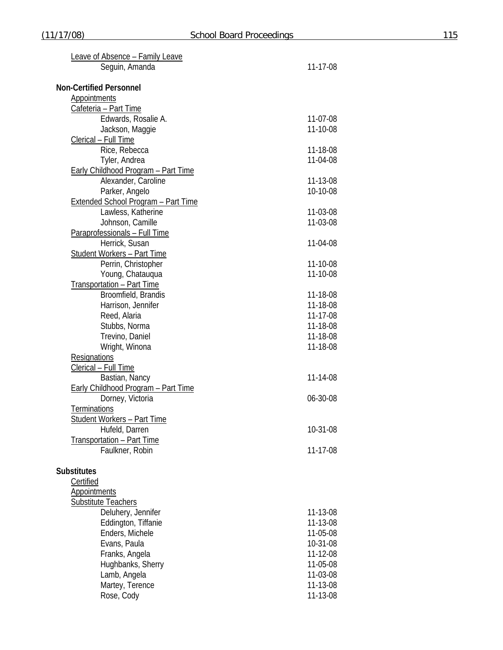| Leave of Absence - Family Leave            |          |
|--------------------------------------------|----------|
| Seguin, Amanda                             | 11-17-08 |
|                                            |          |
| <b>Non-Certified Personnel</b>             |          |
| <b>Appointments</b>                        |          |
| Cafeteria - Part Time                      |          |
| Edwards, Rosalie A.                        | 11-07-08 |
| Jackson, Maggie                            | 11-10-08 |
| Clerical - Full Time                       |          |
| Rice, Rebecca                              | 11-18-08 |
| Tyler, Andrea                              | 11-04-08 |
| <b>Early Childhood Program - Part Time</b> |          |
| Alexander, Caroline                        | 11-13-08 |
| Parker, Angelo                             | 10-10-08 |
| <b>Extended School Program - Part Time</b> |          |
| Lawless, Katherine                         | 11-03-08 |
| Johnson, Camille                           | 11-03-08 |
| Paraprofessionals - Full Time              |          |
| Herrick, Susan                             | 11-04-08 |
| <b>Student Workers - Part Time</b>         |          |
| Perrin, Christopher                        | 11-10-08 |
| Young, Chatauqua                           | 11-10-08 |
| Transportation - Part Time                 |          |
| Broomfield, Brandis                        | 11-18-08 |
| Harrison, Jennifer                         | 11-18-08 |
| Reed, Alaria                               | 11-17-08 |
| Stubbs, Norma                              | 11-18-08 |
| Trevino, Daniel                            | 11-18-08 |
| Wright, Winona                             | 11-18-08 |
| Resignations                               |          |
| Clerical - Full Time                       |          |
| Bastian, Nancy                             | 11-14-08 |
| <b>Early Childhood Program - Part Time</b> |          |
| Dorney, Victoria                           | 06-30-08 |
| <b>Terminations</b>                        |          |
| Student Workers - Part Time                |          |
| Hufeld, Darren                             | 10-31-08 |
| Transportation - Part Time                 |          |
| Faulkner, Robin                            | 11-17-08 |
|                                            |          |
| <b>Substitutes</b>                         |          |
| Certified                                  |          |
| <b>Appointments</b>                        |          |
| Substitute Teachers                        |          |
| Deluhery, Jennifer                         | 11-13-08 |
| Eddington, Tiffanie                        | 11-13-08 |
| Enders, Michele                            | 11-05-08 |
| Evans, Paula                               | 10-31-08 |
| Franks, Angela                             | 11-12-08 |
| Hughbanks, Sherry                          | 11-05-08 |
| Lamb, Angela                               | 11-03-08 |
|                                            | 11-13-08 |
| Martey, Terence<br>Rose, Cody              | 11-13-08 |
|                                            |          |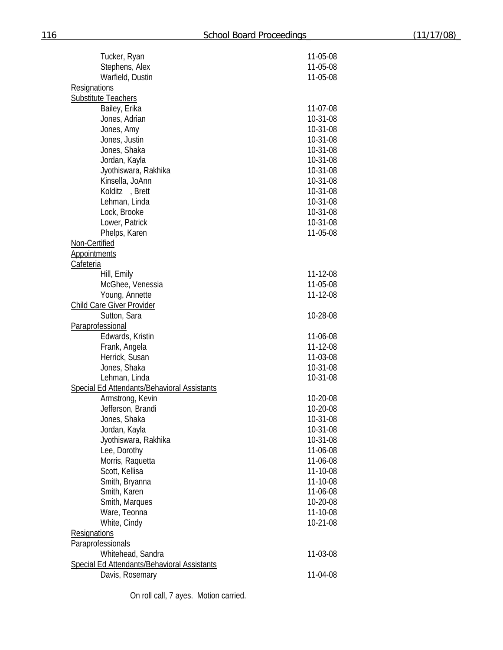| Tucker, Ryan                                       | 11-05-08       |
|----------------------------------------------------|----------------|
| Stephens, Alex                                     | 11-05-08       |
| Warfield, Dustin                                   | 11-05-08       |
| Resignations                                       |                |
| <b>Substitute Teachers</b>                         |                |
| Bailey, Erika                                      | 11-07-08       |
| Jones, Adrian                                      | 10-31-08       |
| Jones, Amy                                         | 10-31-08       |
|                                                    |                |
| Jones, Justin                                      | 10-31-08       |
| Jones, Shaka                                       | 10-31-08       |
| Jordan, Kayla                                      | 10-31-08       |
| Jyothiswara, Rakhika                               | 10-31-08       |
| Kinsella, JoAnn                                    | 10-31-08       |
| Kolditz, Brett                                     | 10-31-08       |
| Lehman, Linda                                      | 10-31-08       |
| Lock, Brooke                                       | 10-31-08       |
| Lower, Patrick                                     | 10-31-08       |
| Phelps, Karen                                      | 11-05-08       |
| Non-Certified                                      |                |
| <b>Appointments</b>                                |                |
| Cafeteria                                          |                |
|                                                    |                |
| Hill, Emily                                        | 11-12-08       |
| McGhee, Venessia                                   | 11-05-08       |
| Young, Annette                                     | 11-12-08       |
| <b>Child Care Giver Provider</b>                   |                |
| Sutton, Sara                                       | 10-28-08       |
| Paraprofessional                                   |                |
| Edwards, Kristin                                   | 11-06-08       |
| Frank, Angela                                      | 11-12-08       |
| Herrick, Susan                                     | 11-03-08       |
| Jones, Shaka                                       | 10-31-08       |
| Lehman, Linda                                      | 10-31-08       |
| Special Ed Attendants/Behavioral Assistants        |                |
| Armstrong, Kevin                                   | 10-20-08       |
| Jefferson, Brandi                                  | 10-20-08       |
| Jones, Shaka                                       | $10 - 31 - 08$ |
|                                                    |                |
| Jordan, Kayla                                      | 10-31-08       |
| Jyothiswara, Rakhika                               | 10-31-08       |
| Lee, Dorothy                                       | 11-06-08       |
| Morris, Raquetta                                   | 11-06-08       |
| Scott, Kellisa                                     | 11-10-08       |
| Smith, Bryanna                                     | 11-10-08       |
| Smith, Karen                                       | 11-06-08       |
| Smith, Marques                                     | 10-20-08       |
| Ware, Teonna                                       | 11-10-08       |
| White, Cindy                                       | 10-21-08       |
| <b>Resignations</b>                                |                |
|                                                    |                |
| Paraprofessionals                                  |                |
| Whitehead, Sandra                                  | 11-03-08       |
| <b>Special Ed Attendants/Behavioral Assistants</b> |                |
| Davis, Rosemary                                    | 11-04-08       |
|                                                    |                |

On roll call, 7 ayes. Motion carried.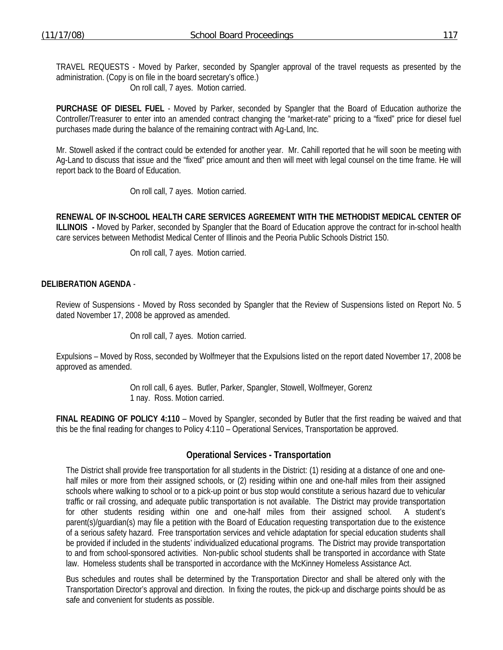TRAVEL REQUESTS - Moved by Parker, seconded by Spangler approval of the travel requests as presented by the administration. (Copy is on file in the board secretary's office.)

On roll call, 7 ayes. Motion carried.

**PURCHASE OF DIESEL FUEL** - Moved by Parker, seconded by Spangler that the Board of Education authorize the Controller/Treasurer to enter into an amended contract changing the "market-rate" pricing to a "fixed" price for diesel fuel purchases made during the balance of the remaining contract with Ag-Land, Inc.

Mr. Stowell asked if the contract could be extended for another year. Mr. Cahill reported that he will soon be meeting with Ag-Land to discuss that issue and the "fixed" price amount and then will meet with legal counsel on the time frame. He will report back to the Board of Education.

On roll call, 7 ayes. Motion carried.

**RENEWAL OF IN-SCHOOL HEALTH CARE SERVICES AGREEMENT WITH THE METHODIST MEDICAL CENTER OF ILLINOIS -** Moved by Parker, seconded by Spangler that the Board of Education approve the contract for in-school health care services between Methodist Medical Center of Illinois and the Peoria Public Schools District 150.

On roll call, 7 ayes. Motion carried.

## **DELIBERATION AGENDA** -

Review of Suspensions - Moved by Ross seconded by Spangler that the Review of Suspensions listed on Report No. 5 dated November 17, 2008 be approved as amended.

On roll call, 7 ayes. Motion carried.

Expulsions – Moved by Ross, seconded by Wolfmeyer that the Expulsions listed on the report dated November 17, 2008 be approved as amended.

> On roll call, 6 ayes. Butler, Parker, Spangler, Stowell, Wolfmeyer, Gorenz 1 nay. Ross. Motion carried.

**FINAL READING OF POLICY 4:110** – Moved by Spangler, seconded by Butler that the first reading be waived and that this be the final reading for changes to Policy 4:110 – Operational Services, Transportation be approved.

## **Operational Services - Transportation**

The District shall provide free transportation for all students in the District: (1) residing at a distance of one and onehalf miles or more from their assigned schools, or (2) residing within one and one-half miles from their assigned schools where walking to school or to a pick-up point or bus stop would constitute a serious hazard due to vehicular traffic or rail crossing, and adequate public transportation is not available. The District may provide transportation for other students residing within one and one-half miles from their assigned school. A student's parent(s)/guardian(s) may file a petition with the Board of Education requesting transportation due to the existence of a serious safety hazard. Free transportation services and vehicle adaptation for special education students shall be provided if included in the students' individualized educational programs. The District may provide transportation to and from school-sponsored activities. Non-public school students shall be transported in accordance with State law. Homeless students shall be transported in accordance with the McKinney Homeless Assistance Act.

Bus schedules and routes shall be determined by the Transportation Director and shall be altered only with the Transportation Director's approval and direction. In fixing the routes, the pick-up and discharge points should be as safe and convenient for students as possible.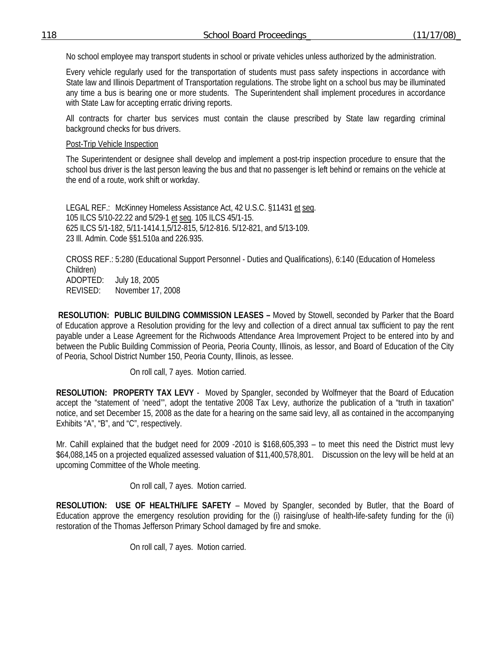No school employee may transport students in school or private vehicles unless authorized by the administration.

Every vehicle regularly used for the transportation of students must pass safety inspections in accordance with State law and Illinois Department of Transportation regulations. The strobe light on a school bus may be illuminated any time a bus is bearing one or more students. The Superintendent shall implement procedures in accordance with State Law for accepting erratic driving reports.

All contracts for charter bus services must contain the clause prescribed by State law regarding criminal background checks for bus drivers.

### Post-Trip Vehicle Inspection

The Superintendent or designee shall develop and implement a post-trip inspection procedure to ensure that the school bus driver is the last person leaving the bus and that no passenger is left behind or remains on the vehicle at the end of a route, work shift or workday.

LEGAL REF.: McKinney Homeless Assistance Act, 42 U.S.C. §11431 et seq. 105 ILCS 5/10-22.22 and 5/29-1 et seq. 105 ILCS 45/1-15. 625 ILCS 5/1-182, 5/11-1414.1,5/12-815, 5/12-816. 5/12-821, and 5/13-109. 23 Ill. Admin. Code §§1.510a and 226.935.

CROSS REF.: 5:280 (Educational Support Personnel - Duties and Qualifications), 6:140 (Education of Homeless Children) ADOPTED: July 18, 2005 REVISED: November 17, 2008

 **RESOLUTION: PUBLIC BUILDING COMMISSION LEASES –** Moved by Stowell, seconded by Parker that the Board of Education approve a Resolution providing for the levy and collection of a direct annual tax sufficient to pay the rent payable under a Lease Agreement for the Richwoods Attendance Area Improvement Project to be entered into by and between the Public Building Commission of Peoria, Peoria County, Illinois, as lessor, and Board of Education of the City of Peoria, School District Number 150, Peoria County, Illinois, as lessee.

On roll call, 7 ayes. Motion carried.

**RESOLUTION: PROPERTY TAX LEVY** - Moved by Spangler, seconded by Wolfmeyer that the Board of Education accept the "statement of 'need'", adopt the tentative 2008 Tax Levy, authorize the publication of a "truth in taxation" notice, and set December 15, 2008 as the date for a hearing on the same said levy, all as contained in the accompanying Exhibits "A", "B", and "C", respectively.

Mr. Cahill explained that the budget need for 2009 -2010 is \$168,605,393 – to meet this need the District must levy \$64,088,145 on a projected equalized assessed valuation of \$11,400,578,801. Discussion on the levy will be held at an upcoming Committee of the Whole meeting.

On roll call, 7 ayes. Motion carried.

**RESOLUTION: USE OF HEALTH/LIFE SAFETY** – Moved by Spangler, seconded by Butler, that the Board of Education approve the emergency resolution providing for the (i) raising/use of health-life-safety funding for the (ii) restoration of the Thomas Jefferson Primary School damaged by fire and smoke.

On roll call, 7 ayes. Motion carried.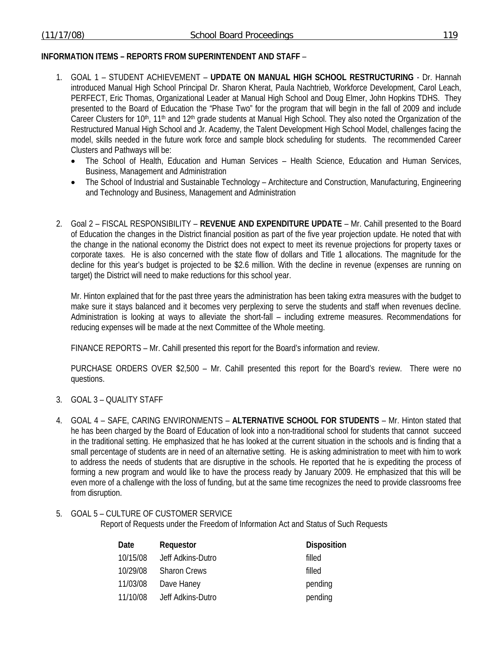# **INFORMATION ITEMS – REPORTS FROM SUPERINTENDENT AND STAFF** –

- 1. GOAL 1 STUDENT ACHIEVEMENT **UPDATE ON MANUAL HIGH SCHOOL RESTRUCTURING** Dr. Hannah introduced Manual High School Principal Dr. Sharon Kherat, Paula Nachtrieb, Workforce Development, Carol Leach, PERFECT, Eric Thomas, Organizational Leader at Manual High School and Doug Elmer, John Hopkins TDHS. They presented to the Board of Education the "Phase Two" for the program that will begin in the fall of 2009 and include Career Clusters for 10<sup>th</sup>, 11<sup>th</sup> and 12<sup>th</sup> grade students at Manual High School. They also noted the Organization of the Restructured Manual High School and Jr. Academy, the Talent Development High School Model, challenges facing the model, skills needed in the future work force and sample block scheduling for students. The recommended Career Clusters and Pathways will be:
	- The School of Health, Education and Human Services Health Science, Education and Human Services, Business, Management and Administration
	- The School of Industrial and Sustainable Technology Architecture and Construction, Manufacturing, Engineering and Technology and Business, Management and Administration
- 2. Goal 2 FISCAL RESPONSIBILITY **REVENUE AND EXPENDITURE UPDATE** Mr. Cahill presented to the Board of Education the changes in the District financial position as part of the five year projection update. He noted that with the change in the national economy the District does not expect to meet its revenue projections for property taxes or corporate taxes. He is also concerned with the state flow of dollars and Title 1 allocations. The magnitude for the decline for this year's budget is projected to be \$2.6 million. With the decline in revenue (expenses are running on target) the District will need to make reductions for this school year.

Mr. Hinton explained that for the past three years the administration has been taking extra measures with the budget to make sure it stays balanced and it becomes very perplexing to serve the students and staff when revenues decline. Administration is looking at ways to alleviate the short-fall – including extreme measures. Recommendations for reducing expenses will be made at the next Committee of the Whole meeting.

FINANCE REPORTS – Mr. Cahill presented this report for the Board's information and review.

 PURCHASE ORDERS OVER \$2,500 – Mr. Cahill presented this report for the Board's review. There were no questions.

- 3. GOAL 3 QUALITY STAFF
- 4. GOAL 4 SAFE, CARING ENVIRONMENTS **ALTERNATIVE SCHOOL FOR STUDENTS** Mr. Hinton stated that he has been charged by the Board of Education of look into a non-traditional school for students that cannot succeed in the traditional setting. He emphasized that he has looked at the current situation in the schools and is finding that a small percentage of students are in need of an alternative setting. He is asking administration to meet with him to work to address the needs of students that are disruptive in the schools. He reported that he is expediting the process of forming a new program and would like to have the process ready by January 2009. He emphasized that this will be even more of a challenge with the loss of funding, but at the same time recognizes the need to provide classrooms free from disruption.
- 5. GOAL 5 CULTURE OF CUSTOMER SERVICE

Report of Requests under the Freedom of Information Act and Status of Such Requests

| Date     | Requestor           | <b>Disposition</b> |
|----------|---------------------|--------------------|
| 10/15/08 | Jeff Adkins-Dutro   | filled             |
| 10/29/08 | <b>Sharon Crews</b> | filled             |
| 11/03/08 | Dave Haney          | pending            |
| 11/10/08 | Jeff Adkins-Dutro   | pending            |